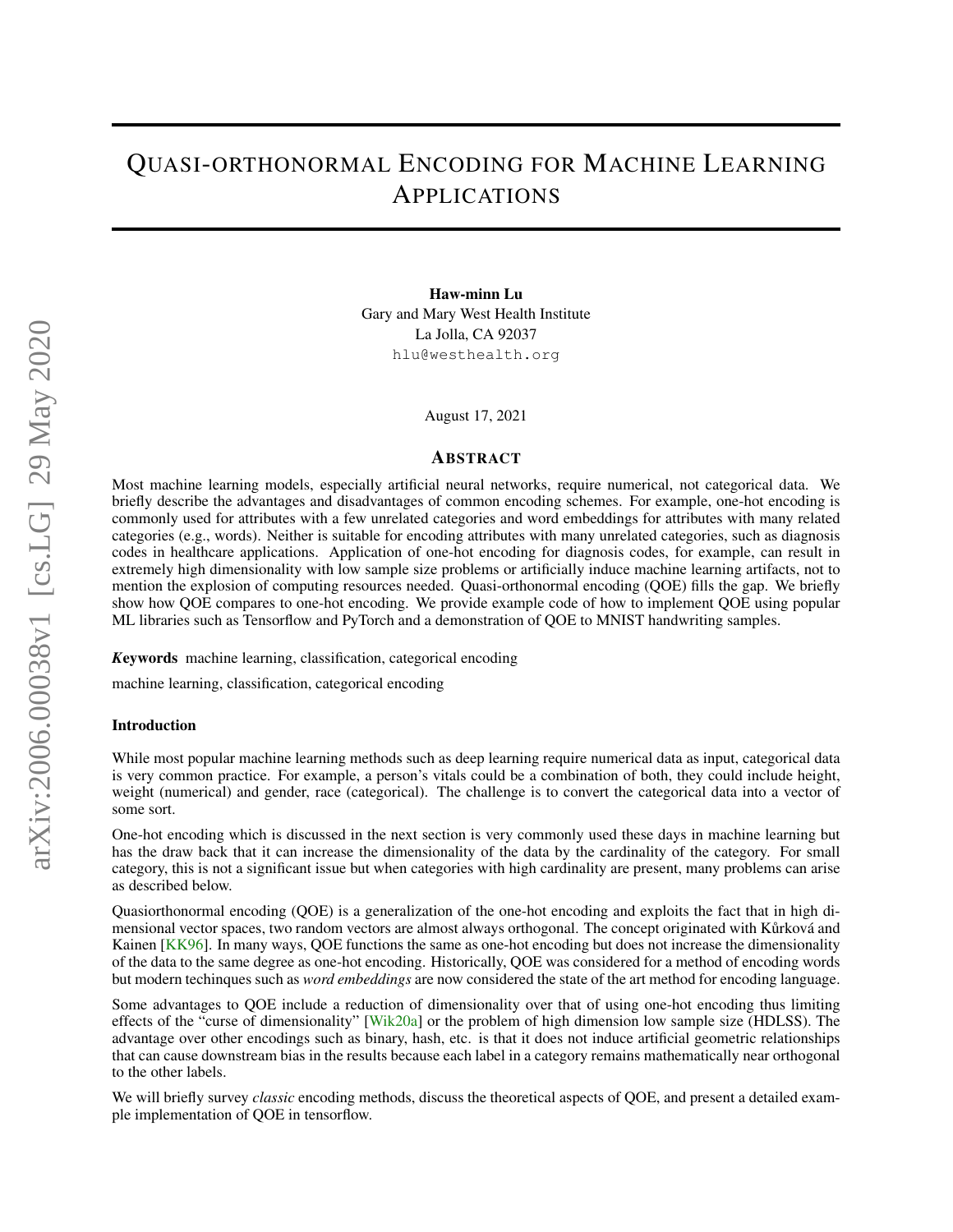# QUASI-ORTHONORMAL ENCODING FOR MACHINE LEARNING APPLICATIONS

Haw-minn Lu Gary and Mary West Health Institute La Jolla, CA 92037 hlu@westhealth.org

August 17, 2021

### ABSTRACT

Most machine learning models, especially artificial neural networks, require numerical, not categorical data. We briefly describe the advantages and disadvantages of common encoding schemes. For example, one-hot encoding is commonly used for attributes with a few unrelated categories and word embeddings for attributes with many related categories (e.g., words). Neither is suitable for encoding attributes with many unrelated categories, such as diagnosis codes in healthcare applications. Application of one-hot encoding for diagnosis codes, for example, can result in extremely high dimensionality with low sample size problems or artificially induce machine learning artifacts, not to mention the explosion of computing resources needed. Quasi-orthonormal encoding (QOE) fills the gap. We briefly show how QOE compares to one-hot encoding. We provide example code of how to implement QOE using popular ML libraries such as Tensorflow and PyTorch and a demonstration of QOE to MNIST handwriting samples.

*K*eywords machine learning, classification, categorical encoding

machine learning, classification, categorical encoding

## Introduction

While most popular machine learning methods such as deep learning require numerical data as input, categorical data is very common practice. For example, a person's vitals could be a combination of both, they could include height, weight (numerical) and gender, race (categorical). The challenge is to convert the categorical data into a vector of some sort.

One-hot encoding which is discussed in the next section is very commonly used these days in machine learning but has the draw back that it can increase the dimensionality of the data by the cardinality of the category. For small category, this is not a significant issue but when categories with high cardinality are present, many problems can arise as described below.

Quasiorthonormal encoding (QOE) is a generalization of the one-hot encoding and exploits the fact that in high dimensional vector spaces, two random vectors are almost always orthogonal. The concept originated with Kurková and Kainen [\[KK96\]](#page-10-0). In many ways, OOE functions the same as one-hot encoding but does not increase the dimensionality of the data to the same degree as one-hot encoding. Historically, QOE was considered for a method of encoding words but modern techinques such as *word embeddings* are now considered the state of the art method for encoding language.

Some advantages to QOE include a reduction of dimensionality over that of using one-hot encoding thus limiting effects of the "curse of dimensionality" [\[Wik20a\]](#page-11-0) or the problem of high dimension low sample size (HDLSS). The advantage over other encodings such as binary, hash, etc. is that it does not induce artificial geometric relationships that can cause downstream bias in the results because each label in a category remains mathematically near orthogonal to the other labels.

We will briefly survey *classic* encoding methods, discuss the theoretical aspects of QOE, and present a detailed example implementation of QOE in tensorflow.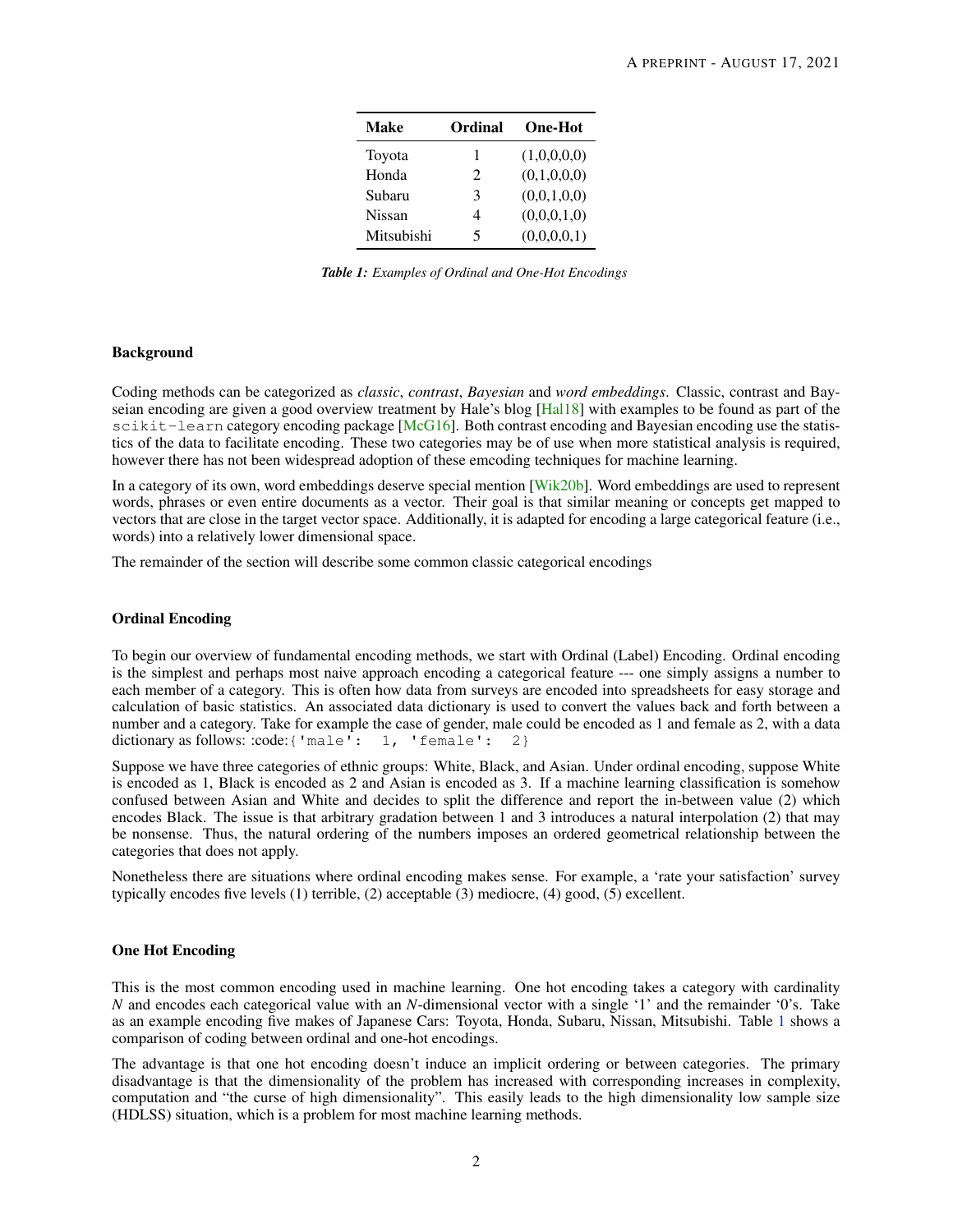| <b>Make</b>   | Ordinal                     | <b>One-Hot</b> |
|---------------|-----------------------------|----------------|
| Toyota        | 1                           | (1,0,0,0,0)    |
| Honda         | $\mathcal{D}_{\mathcal{L}}$ | (0,1,0,0,0)    |
| Subaru        | 3                           | (0,0,1,0,0)    |
| <b>Nissan</b> | 4                           | (0,0,0,1,0)    |
| Mitsubishi    | 5                           | (0,0,0,0,1)    |

*Table 1: Examples of Ordinal and One-Hot Encodings*

# <span id="page-1-0"></span>Background

Coding methods can be categorized as *classic*, *contrast*, *Bayesian* and *word embeddings*. Classic, contrast and Bayseian encoding are given a good overview treatment by Hale's blog [\[Hal18\]](#page-10-1) with examples to be found as part of the scikit-learn category encoding package [\[McG16\]](#page-11-1). Both contrast encoding and Bayesian encoding use the statistics of the data to facilitate encoding. These two categories may be of use when more statistical analysis is required, however there has not been widespread adoption of these emcoding techniques for machine learning.

In a category of its own, word embeddings deserve special mention [\[Wik20b\]](#page-11-2). Word embeddings are used to represent words, phrases or even entire documents as a vector. Their goal is that similar meaning or concepts get mapped to vectors that are close in the target vector space. Additionally, it is adapted for encoding a large categorical feature (i.e., words) into a relatively lower dimensional space.

The remainder of the section will describe some common classic categorical encodings

# Ordinal Encoding

To begin our overview of fundamental encoding methods, we start with Ordinal (Label) Encoding. Ordinal encoding is the simplest and perhaps most naive approach encoding a categorical feature --- one simply assigns a number to each member of a category. This is often how data from surveys are encoded into spreadsheets for easy storage and calculation of basic statistics. An associated data dictionary is used to convert the values back and forth between a number and a category. Take for example the case of gender, male could be encoded as 1 and female as 2, with a data dictionary as follows: :code:{ 'male': 1, 'female': 2}

Suppose we have three categories of ethnic groups: White, Black, and Asian. Under ordinal encoding, suppose White is encoded as 1, Black is encoded as 2 and Asian is encoded as 3. If a machine learning classification is somehow confused between Asian and White and decides to split the difference and report the in-between value (2) which encodes Black. The issue is that arbitrary gradation between 1 and 3 introduces a natural interpolation (2) that may be nonsense. Thus, the natural ordering of the numbers imposes an ordered geometrical relationship between the categories that does not apply.

Nonetheless there are situations where ordinal encoding makes sense. For example, a 'rate your satisfaction' survey typically encodes five levels (1) terrible, (2) acceptable (3) mediocre, (4) good, (5) excellent.

# One Hot Encoding

This is the most common encoding used in machine learning. One hot encoding takes a category with cardinality *N* and encodes each categorical value with an *N*-dimensional vector with a single '1' and the remainder '0's. Take as an example encoding five makes of Japanese Cars: Toyota, Honda, Subaru, Nissan, Mitsubishi. Table [1](#page-1-0) shows a comparison of coding between ordinal and one-hot encodings.

The advantage is that one hot encoding doesn't induce an implicit ordering or between categories. The primary disadvantage is that the dimensionality of the problem has increased with corresponding increases in complexity, computation and "the curse of high dimensionality". This easily leads to the high dimensionality low sample size (HDLSS) situation, which is a problem for most machine learning methods.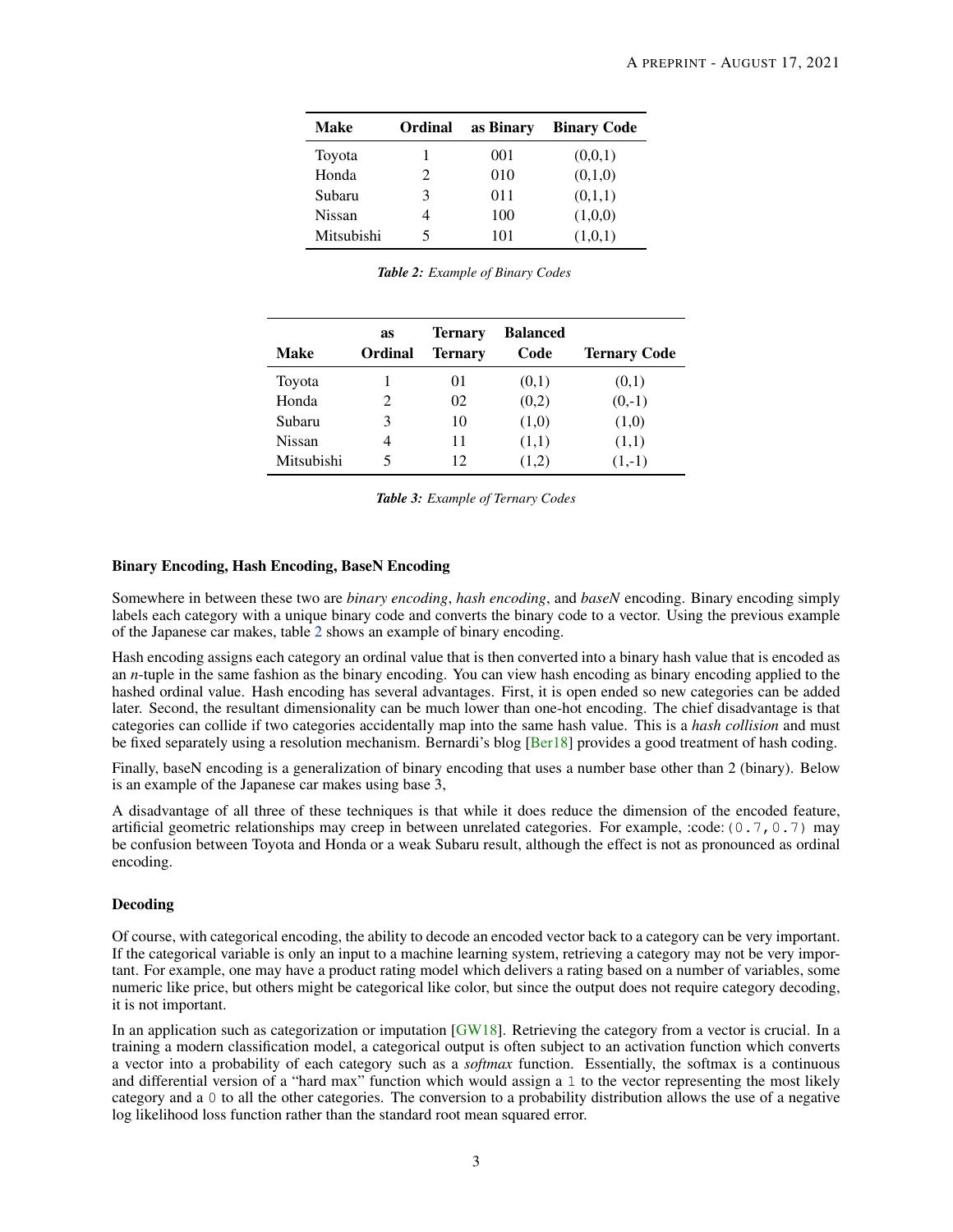<span id="page-2-0"></span>

| Make       | Ordinal               | as Binary | <b>Binary Code</b> |
|------------|-----------------------|-----------|--------------------|
| Toyota     |                       | 001       | (0,0,1)            |
| Honda      | $\mathcal{D}_{\cdot}$ | 010       | (0,1,0)            |
| Subaru     | 3                     | 011       | (0,1,1)            |
| Nissan     |                       | 100       | (1,0,0)            |
| Mitsubishi | 5                     | 101       | (1,0,1)            |

|  |  | Table 2: Example of Binary Codes |  |
|--|--|----------------------------------|--|
|--|--|----------------------------------|--|

| <b>Make</b> | as<br><b>Ordinal</b> | <b>Ternary</b><br><b>Ternary</b> | <b>Balanced</b><br>Code | <b>Ternary Code</b> |
|-------------|----------------------|----------------------------------|-------------------------|---------------------|
| Toyota      |                      | $_{01}$                          | (0,1)                   | (0,1)               |
| Honda       |                      | 02                               | (0,2)                   | $(0,-1)$            |
| Subaru      | 3                    | 10                               | (1,0)                   | (1,0)               |
| Nissan      |                      | 11                               | (1,1)                   | (1,1)               |
| Mitsubishi  |                      | 12                               | (1,2)                   | $(1,-1)$            |

*Table 3: Example of Ternary Codes*

# Binary Encoding, Hash Encoding, BaseN Encoding

Somewhere in between these two are *binary encoding*, *hash encoding*, and *baseN* encoding. Binary encoding simply labels each category with a unique binary code and converts the binary code to a vector. Using the previous example of the Japanese car makes, table [2](#page-2-0) shows an example of binary encoding.

Hash encoding assigns each category an ordinal value that is then converted into a binary hash value that is encoded as an *n*-tuple in the same fashion as the binary encoding. You can view hash encoding as binary encoding applied to the hashed ordinal value. Hash encoding has several advantages. First, it is open ended so new categories can be added later. Second, the resultant dimensionality can be much lower than one-hot encoding. The chief disadvantage is that categories can collide if two categories accidentally map into the same hash value. This is a *hash collision* and must be fixed separately using a resolution mechanism. Bernardi's blog [\[Ber18\]](#page-10-2) provides a good treatment of hash coding.

Finally, baseN encoding is a generalization of binary encoding that uses a number base other than 2 (binary). Below is an example of the Japanese car makes using base 3,

A disadvantage of all three of these techniques is that while it does reduce the dimension of the encoded feature, artificial geometric relationships may creep in between unrelated categories. For example, :code:(0.7,0.7) may be confusion between Toyota and Honda or a weak Subaru result, although the effect is not as pronounced as ordinal encoding.

## Decoding

Of course, with categorical encoding, the ability to decode an encoded vector back to a category can be very important. If the categorical variable is only an input to a machine learning system, retrieving a category may not be very important. For example, one may have a product rating model which delivers a rating based on a number of variables, some numeric like price, but others might be categorical like color, but since the output does not require category decoding, it is not important.

In an application such as categorization or imputation  $[GW18]$ . Retrieving the category from a vector is crucial. In a training a modern classification model, a categorical output is often subject to an activation function which converts a vector into a probability of each category such as a *softmax* function. Essentially, the softmax is a continuous and differential version of a "hard max" function which would assign a 1 to the vector representing the most likely category and a 0 to all the other categories. The conversion to a probability distribution allows the use of a negative log likelihood loss function rather than the standard root mean squared error.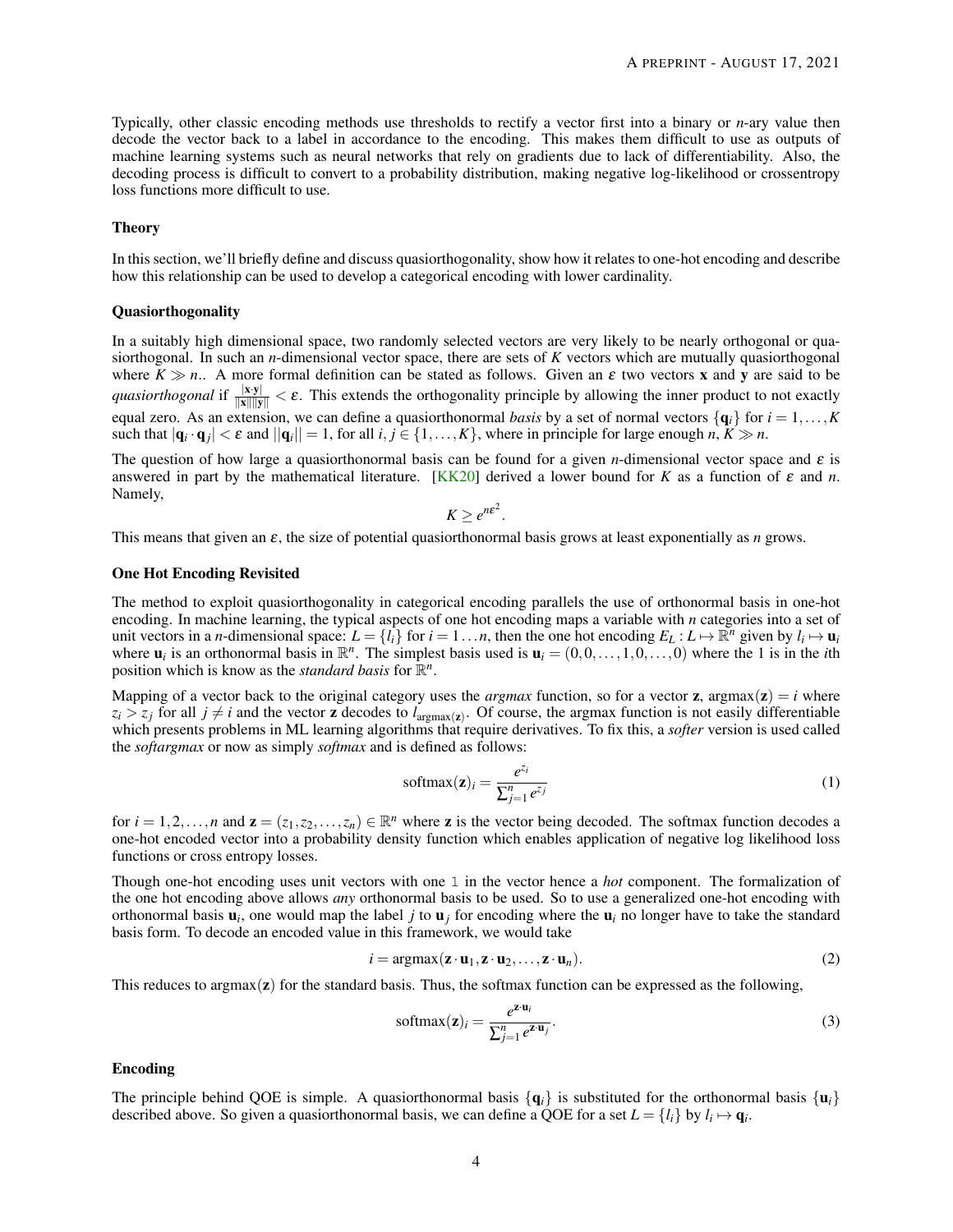Typically, other classic encoding methods use thresholds to rectify a vector first into a binary or *n*-ary value then decode the vector back to a label in accordance to the encoding. This makes them difficult to use as outputs of machine learning systems such as neural networks that rely on gradients due to lack of differentiability. Also, the decoding process is difficult to convert to a probability distribution, making negative log-likelihood or crossentropy loss functions more difficult to use.

# **Theory**

In this section, we'll briefly define and discuss quasiorthogonality, show how it relates to one-hot encoding and describe how this relationship can be used to develop a categorical encoding with lower cardinality.

# Quasiorthogonality

In a suitably high dimensional space, two randomly selected vectors are very likely to be nearly orthogonal or quasiorthogonal. In such an *n*-dimensional vector space, there are sets of *K* vectors which are mutually quasiorthogonal where  $K \gg n$ .. A more formal definition can be stated as follows. Given an  $\varepsilon$  two vectors **x** and **y** are said to be *quasiorthogonal* if  $\frac{|x \cdot y|}{\|x\| \|y\|} < \varepsilon$ . This extends the orthogonality principle by allowing the inner product to not exactly equal zero. As an extension, we can define a quasiorthonormal *basis* by a set of normal vectors  $\{q_i\}$  for  $i = 1, \ldots, K$ such that  $|\mathbf{q}_i \cdot \mathbf{q}_j| < \varepsilon$  and  $||\mathbf{q}_i|| = 1$ , for all  $i, j \in \{1, ..., K\}$ , where in principle for large enough  $n, K \gg n$ .

The question of how large a quasiorthonormal basis can be found for a given *n*-dimensional vector space and  $\varepsilon$  is answered in part by the mathematical literature. [\[KK20\]](#page-10-4) derived a lower bound for *K* as a function of  $\varepsilon$  and *n*. Namely,

$$
K \geq e^{n\epsilon^2}.
$$

This means that given an ε, the size of potential quasiorthonormal basis grows at least exponentially as *n* grows.

# One Hot Encoding Revisited

The method to exploit quasiorthogonality in categorical encoding parallels the use of orthonormal basis in one-hot encoding. In machine learning, the typical aspects of one hot encoding maps a variable with *n* categories into a set of unit vectors in a *n*-dimensional space:  $L = \{l_i\}$  for  $i = 1...n$ , then the one hot encoding  $E_L : L \mapsto \mathbb{R}^n$  given by  $l_i \mapsto \mathbf{u}_i$ where  $\mathbf{u}_i$  is an orthonormal basis in  $\mathbb{R}^n$ . The simplest basis used is  $\mathbf{u}_i = (0,0,\ldots,1,0,\ldots,0)$  where the 1 is in the *i*th position which is know as the *standard basis* for  $\mathbb{R}^n$ .

Mapping of a vector back to the original category uses the *argmax* function, so for a vector **z**,  $\text{argmax}(\mathbf{z}) = i$  where  $z_i > z_j$  for all  $j \neq i$  and the vector **z** decodes to  $l_{\text{argmax}}(z)$ . Of course, the argmax function is not easily differentiable which presents problems in ML learning algorithms that require derivatives. To fix this, a *softer* version is used called the *softargmax* or now as simply *softmax* and is defined as follows:

$$
softmax(\mathbf{z})_i = \frac{e^{z_i}}{\sum_{j=1}^n e^{z_j}}
$$
\n(1)

for  $i = 1, 2, ..., n$  and  $\mathbf{z} = (z_1, z_2, ..., z_n) \in \mathbb{R}^n$  where **z** is the vector being decoded. The softmax function decodes a one-hot encoded vector into a probability density function which enables application of negative log likelihood loss functions or cross entropy losses.

Though one-hot encoding uses unit vectors with one 1 in the vector hence a *hot* component. The formalization of the one hot encoding above allows *any* orthonormal basis to be used. So to use a generalized one-hot encoding with orthonormal basis u*<sup>i</sup>* , one would map the label *j* to u*<sup>j</sup>* for encoding where the u*<sup>i</sup>* no longer have to take the standard basis form. To decode an encoded value in this framework, we would take

<span id="page-3-0"></span>
$$
i = \operatorname{argmax} (\mathbf{z} \cdot \mathbf{u}_1, \mathbf{z} \cdot \mathbf{u}_2, \dots, \mathbf{z} \cdot \mathbf{u}_n). \tag{2}
$$

This reduces to argmax $(z)$  for the standard basis. Thus, the softmax function can be expressed as the following,

<span id="page-3-1"></span>
$$
\text{softmax}(\mathbf{z})_i = \frac{e^{\mathbf{z} \cdot \mathbf{u}_i}}{\sum_{j=1}^n e^{\mathbf{z} \cdot \mathbf{u}_j}}.
$$
\n(3)

# Encoding

The principle behind QOE is simple. A quasiorthonormal basis  $\{q_i\}$  is substituted for the orthonormal basis  $\{u_i\}$ described above. So given a quasiorthonormal basis, we can define a QOE for a set  $L = \{l_i\}$  by  $l_i \mapsto \mathbf{q}_i$ .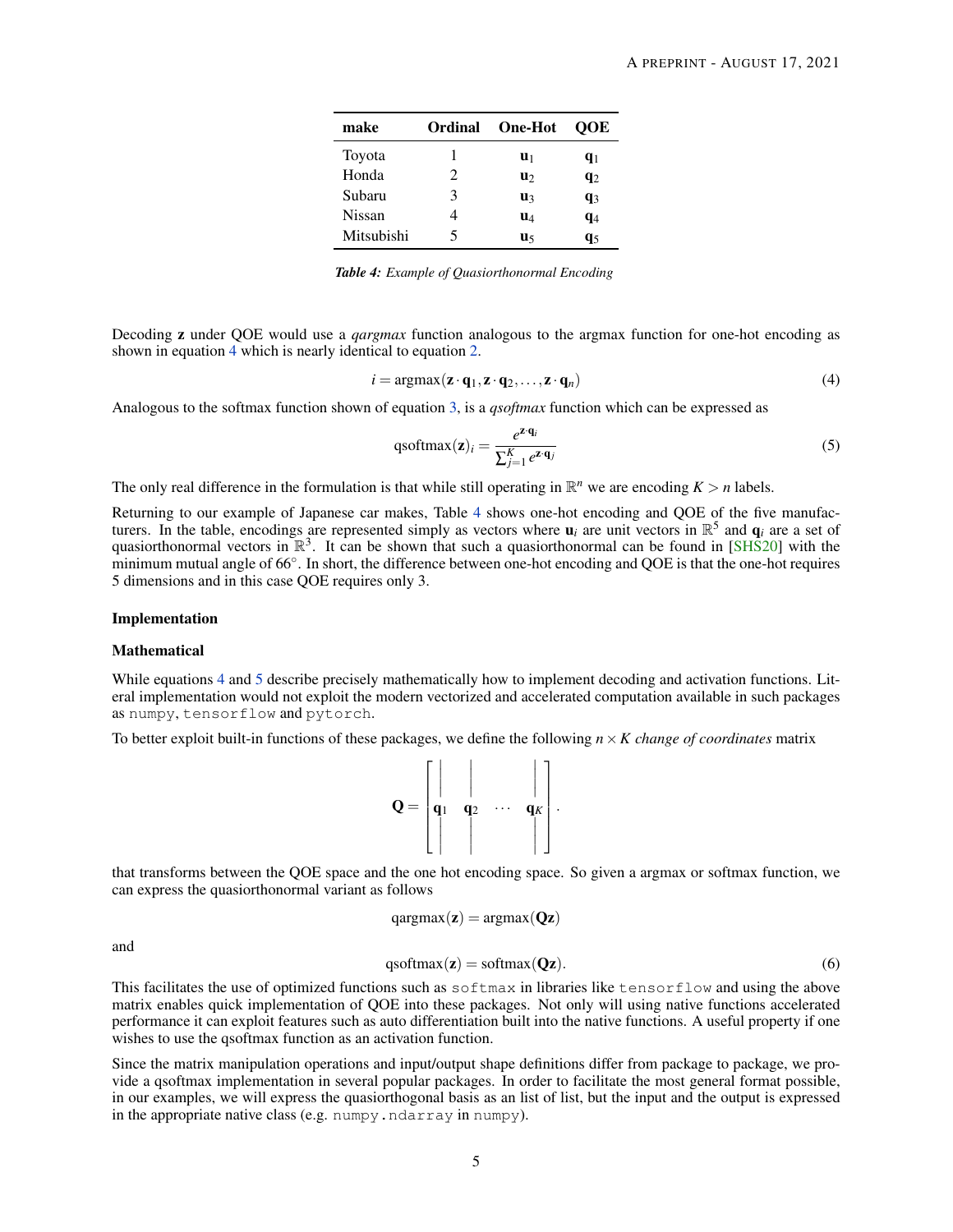<span id="page-4-1"></span>

| make          | Ordinal       | <b>One-Hot</b> | OOE   |
|---------------|---------------|----------------|-------|
| Toyota        |               | U1             | $q_1$ |
| Honda         | $\mathcal{L}$ | u۶             | $q_2$ |
| Subaru        | 3             | u٩             | $q_3$ |
| <b>Nissan</b> |               | $\mathbf{u}_4$ | $q_4$ |
| Mitsubishi    | 5             | u٢             | q5    |

*Table 4: Example of Quasiorthonormal Encoding*

Decoding z under QOE would use a *qargmax* function analogous to the argmax function for one-hot encoding as shown in equation [4](#page-4-0) which is nearly identical to equation [2.](#page-3-0)

<span id="page-4-0"></span>
$$
i = \arg\max(\mathbf{z} \cdot \mathbf{q}_1, \mathbf{z} \cdot \mathbf{q}_2, \dots, \mathbf{z} \cdot \mathbf{q}_n)
$$
 (4)

Analogous to the softmax function shown of equation [3,](#page-3-1) is a *qsoftmax* function which can be expressed as

<span id="page-4-2"></span>qsoftmax
$$
(\mathbf{z})_i = \frac{e^{\mathbf{z} \cdot \mathbf{q}_i}}{\sum_{j=1}^K e^{\mathbf{z} \cdot \mathbf{q}_j}}
$$
 (5)

The only real difference in the formulation is that while still operating in  $\mathbb{R}^n$  we are encoding  $K > n$  labels.

Returning to our example of Japanese car makes, Table [4](#page-4-1) shows one-hot encoding and QOE of the five manufacturers. In the table, encodings are represented simply as vectors where  $u_i$  are unit vectors in  $\mathbb{R}^5$  and  $q_i$  are a set of quasiorthonormal vectors in  $\mathbb{R}^3$ . It can be shown that such a quasiorthonormal can be found in [\[SHS20\]](#page-11-3) with the minimum mutual angle of 66°. In short, the difference between one-hot encoding and QOE is that the one-hot requires 5 dimensions and in this case QOE requires only 3.

# Implementation

## Mathematical

While equations [4](#page-4-0) and [5](#page-4-2) describe precisely mathematically how to implement decoding and activation functions. Literal implementation would not exploit the modern vectorized and accelerated computation available in such packages as numpy, tensorflow and pytorch.

To better exploit built-in functions of these packages, we define the following *n*×*K change of coordinates* matrix



that transforms between the QOE space and the one hot encoding space. So given a argmax or softmax function, we can express the quasiorthonormal variant as follows

$$
qargmax(\mathbf{z}) = argmax(\mathbf{Qz})
$$

and

<span id="page-4-3"></span>
$$
q\text{softmax}(\mathbf{z}) = \text{softmax}(\mathbf{Qz}).\tag{6}
$$

This facilitates the use of optimized functions such as softmax in libraries like tensorflow and using the above matrix enables quick implementation of QOE into these packages. Not only will using native functions accelerated performance it can exploit features such as auto differentiation built into the native functions. A useful property if one wishes to use the qsoftmax function as an activation function.

Since the matrix manipulation operations and input/output shape definitions differ from package to package, we provide a qsoftmax implementation in several popular packages. In order to facilitate the most general format possible, in our examples, we will express the quasiorthogonal basis as an list of list, but the input and the output is expressed in the appropriate native class (e.g. numpy.ndarray in numpy).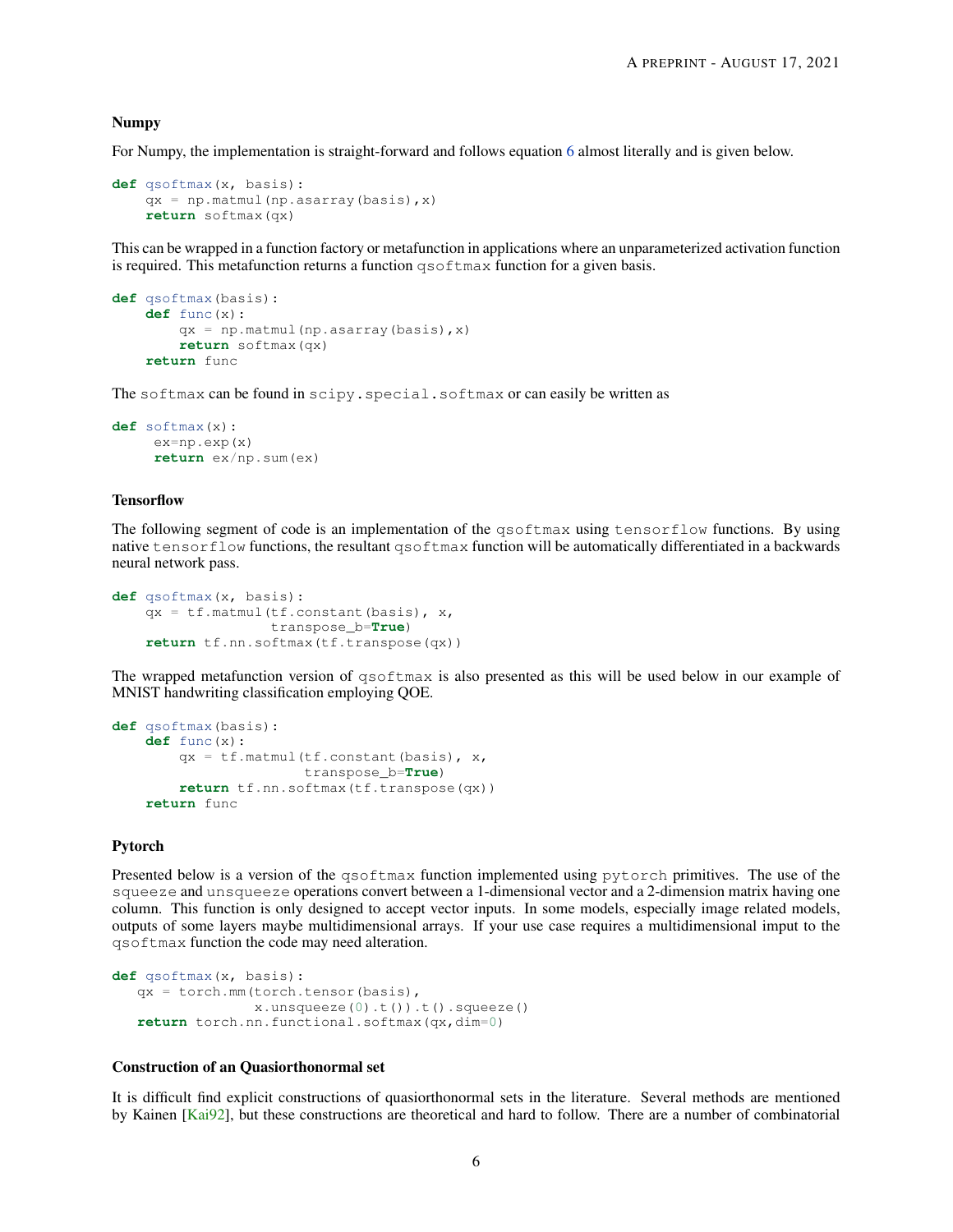#### Numpy

For Numpy, the implementation is straight-forward and follows equation [6](#page-4-3) almost literally and is given below.

```
def qsoftmax(x, basis):
    qx = np.matmul(np.sarray(basis), x)return softmax(qx)
```
This can be wrapped in a function factory or metafunction in applications where an unparameterized activation function is required. This metafunction returns a function qsoftmax function for a given basis.

```
def qsoftmax(basis):
    def func(x):
        qx = np.matmul(np.asarray(basis),x)
        return softmax(qx)
    return func
```
The softmax can be found in scipy.special.softmax or can easily be written as

```
def softmax(x):
     ex=np.exp(x)
     return ex/np.sum(ex)
```
# **Tensorflow**

The following segment of code is an implementation of the qsoftmax using tensorflow functions. By using native tensorflow functions, the resultant qsoftmax function will be automatically differentiated in a backwards neural network pass.

```
def qsoftmax(x, basis):
   qx = tf.matmul(tf.config), x,
                 transpose_b=True)
   return tf.nn.softmax(tf.transpose(qx))
```
The wrapped metafunction version of qsoftmax is also presented as this will be used below in our example of MNIST handwriting classification employing QOE.

```
def qsoftmax(basis):
   def func(x):
       qx = tf.matmul(tf.comstant(basis), x,transpose_b=True)
       return tf.nn.softmax(tf.transpose(qx))
    return func
```
# Pytorch

Presented below is a version of the qsoftmax function implemented using pytorch primitives. The use of the squeeze and unsqueeze operations convert between a 1-dimensional vector and a 2-dimension matrix having one column. This function is only designed to accept vector inputs. In some models, especially image related models, outputs of some layers maybe multidimensional arrays. If your use case requires a multidimensional imput to the qsoftmax function the code may need alteration.

```
def qsoftmax(x, basis):
   qx = torch.mm(torch.tensor(basis),
                x.unsqueeze(0).t()).t().squeeze()
   return torch.nn.functional.softmax(qx,dim=0)
```
# Construction of an Quasiorthonormal set

It is difficult find explicit constructions of quasiorthonormal sets in the literature. Several methods are mentioned by Kainen [\[Kai92\]](#page-10-5), but these constructions are theoretical and hard to follow. There are a number of combinatorial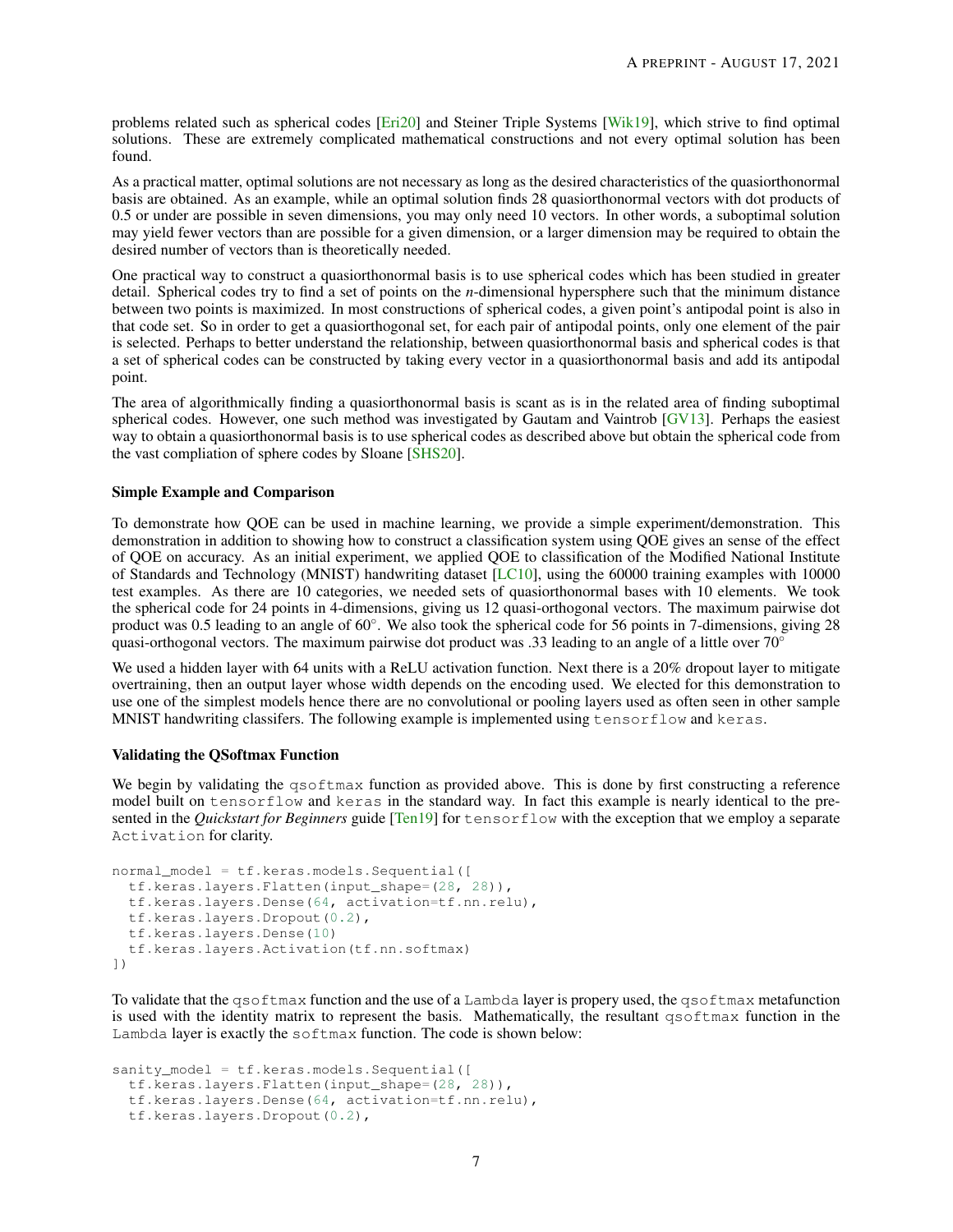problems related such as spherical codes [\[Eri20\]](#page-10-6) and Steiner Triple Systems [\[Wik19\]](#page-11-4), which strive to find optimal solutions. These are extremely complicated mathematical constructions and not every optimal solution has been found.

As a practical matter, optimal solutions are not necessary as long as the desired characteristics of the quasiorthonormal basis are obtained. As an example, while an optimal solution finds 28 quasiorthonormal vectors with dot products of 0.5 or under are possible in seven dimensions, you may only need 10 vectors. In other words, a suboptimal solution may yield fewer vectors than are possible for a given dimension, or a larger dimension may be required to obtain the desired number of vectors than is theoretically needed.

One practical way to construct a quasiorthonormal basis is to use spherical codes which has been studied in greater detail. Spherical codes try to find a set of points on the *n*-dimensional hypersphere such that the minimum distance between two points is maximized. In most constructions of spherical codes, a given point's antipodal point is also in that code set. So in order to get a quasiorthogonal set, for each pair of antipodal points, only one element of the pair is selected. Perhaps to better understand the relationship, between quasiorthonormal basis and spherical codes is that a set of spherical codes can be constructed by taking every vector in a quasiorthonormal basis and add its antipodal point.

The area of algorithmically finding a quasiorthonormal basis is scant as is in the related area of finding suboptimal spherical codes. However, one such method was investigated by Gautam and Vaintrob [\[GV13\]](#page-10-7). Perhaps the easiest way to obtain a quasiorthonormal basis is to use spherical codes as described above but obtain the spherical code from the vast compliation of sphere codes by Sloane [\[SHS20\]](#page-11-3).

# Simple Example and Comparison

To demonstrate how QOE can be used in machine learning, we provide a simple experiment/demonstration. This demonstration in addition to showing how to construct a classification system using QOE gives an sense of the effect of QOE on accuracy. As an initial experiment, we applied QOE to classification of the Modified National Institute of Standards and Technology (MNIST) handwriting dataset [\[LC10\]](#page-10-8), using the 60000 training examples with 10000 test examples. As there are 10 categories, we needed sets of quasiorthonormal bases with 10 elements. We took the spherical code for 24 points in 4-dimensions, giving us 12 quasi-orthogonal vectors. The maximum pairwise dot product was 0.5 leading to an angle of 60°. We also took the spherical code for 56 points in 7-dimensions, giving 28 quasi-orthogonal vectors. The maximum pairwise dot product was .33 leading to an angle of a little over  $70°$ 

We used a hidden layer with 64 units with a ReLU activation function. Next there is a 20% dropout layer to mitigate overtraining, then an output layer whose width depends on the encoding used. We elected for this demonstration to use one of the simplest models hence there are no convolutional or pooling layers used as often seen in other sample MNIST handwriting classifers. The following example is implemented using tensorflow and keras.

# Validating the QSoftmax Function

We begin by validating the qsoftmax function as provided above. This is done by first constructing a reference model built on tensorflow and keras in the standard way. In fact this example is nearly identical to the presented in the *Quickstart for Beginners* guide [\[Ten19\]](#page-11-5) for tensorflow with the exception that we employ a separate Activation for clarity.

```
normal model = tf.keras.models.Sequential([tf.keras.layers.Flatten(input_shape=(28, 28)),
 tf.keras.layers.Dense(64, activation=tf.nn.relu),
 tf.keras.layers.Dropout(0.2),
 tf.keras.layers.Dense(10)
 tf.keras.layers.Activation(tf.nn.softmax)
])
```
To validate that the qsoftmax function and the use of a Lambda layer is propery used, the qsoftmax metafunction is used with the identity matrix to represent the basis. Mathematically, the resultant qsoftmax function in the Lambda layer is exactly the softmax function. The code is shown below:

```
sanity_model = tf.keras.models.Sequential([
 tf.keras.layers.Flatten(input_shape=(28, 28)),
 tf.keras.layers.Dense(64, activation=tf.nn.relu),
 tf.keras.layers.Dropout(0.2),
```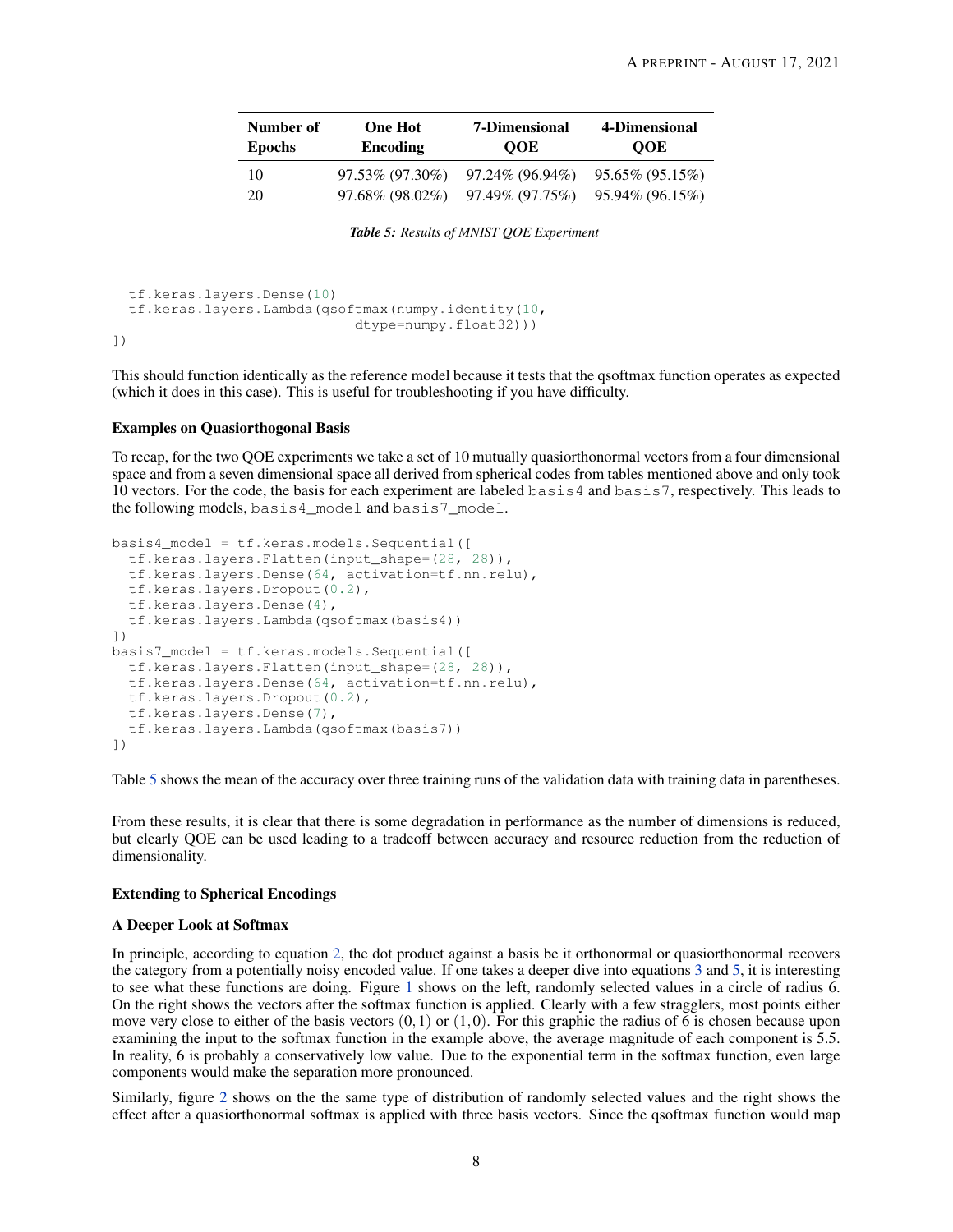<span id="page-7-0"></span>

| Number of     | <b>One Hot</b> | <b>7-Dimensional</b>                        | 4-Dimensional      |
|---------------|----------------|---------------------------------------------|--------------------|
| <b>Epochs</b> | Encoding       | <b>OOE</b>                                  | <b>OOE</b>         |
| 10            |                | $97.53\%$ $(97.30\%)$ $97.24\%$ $(96.94\%)$ | $95.65\%$ (95.15%) |
| 20            |                | $97.68\%$ (98.02%) $97.49\%$ (97.75%)       | 95.94% (96.15%)    |

*Table 5: Results of MNIST QOE Experiment*

```
tf.keras.layers.Dense(10)
tf.keras.layers.Lambda(qsoftmax(numpy.identity(10,
                           dtype=numpy.float32)))
```
])

This should function identically as the reference model because it tests that the qsoftmax function operates as expected (which it does in this case). This is useful for troubleshooting if you have difficulty.

# Examples on Quasiorthogonal Basis

To recap, for the two QOE experiments we take a set of 10 mutually quasiorthonormal vectors from a four dimensional space and from a seven dimensional space all derived from spherical codes from tables mentioned above and only took 10 vectors. For the code, the basis for each experiment are labeled basis4 and basis7, respectively. This leads to the following models, basis4\_model and basis7\_model.

```
basis4_model = tf.keras.models.Sequential([
  tf.keras.layers.Flatten(input_shape=(28, 28)),
  tf.keras.layers.Dense(64, activation=tf.nn.relu),
  tf.keras.layers.Dropout(0.2),
  tf.keras.layers.Dense(4),
  tf.keras.layers.Lambda(qsoftmax(basis4))
])
basis7_model = tf.keras.models.Sequential([
  tf.keras.layers.Flatten(input_shape=(28, 28)),
  tf.keras.layers.Dense(64, activation=tf.nn.relu),
  tf.keras.layers.Dropout(0.2),
  tf.keras.layers.Dense(7),
  tf.keras.layers.Lambda(qsoftmax(basis7))
])
```
Table [5](#page-7-0) shows the mean of the accuracy over three training runs of the validation data with training data in parentheses.

From these results, it is clear that there is some degradation in performance as the number of dimensions is reduced, but clearly QOE can be used leading to a tradeoff between accuracy and resource reduction from the reduction of dimensionality.

# Extending to Spherical Encodings

# A Deeper Look at Softmax

In principle, according to equation [2,](#page-3-0) the dot product against a basis be it orthonormal or quasiorthonormal recovers the category from a potentially noisy encoded value. If one takes a deeper dive into equations [3](#page-3-1) and [5,](#page-4-2) it is interesting to see what these functions are doing. Figure [1](#page-8-0) shows on the left, randomly selected values in a circle of radius 6. On the right shows the vectors after the softmax function is applied. Clearly with a few stragglers, most points either move very close to either of the basis vectors  $(0,1)$  or  $(1,0)$ . For this graphic the radius of 6 is chosen because upon examining the input to the softmax function in the example above, the average magnitude of each component is 5.5. In reality, 6 is probably a conservatively low value. Due to the exponential term in the softmax function, even large components would make the separation more pronounced.

Similarly, figure [2](#page-8-1) shows on the the same type of distribution of randomly selected values and the right shows the effect after a quasiorthonormal softmax is applied with three basis vectors. Since the qsoftmax function would map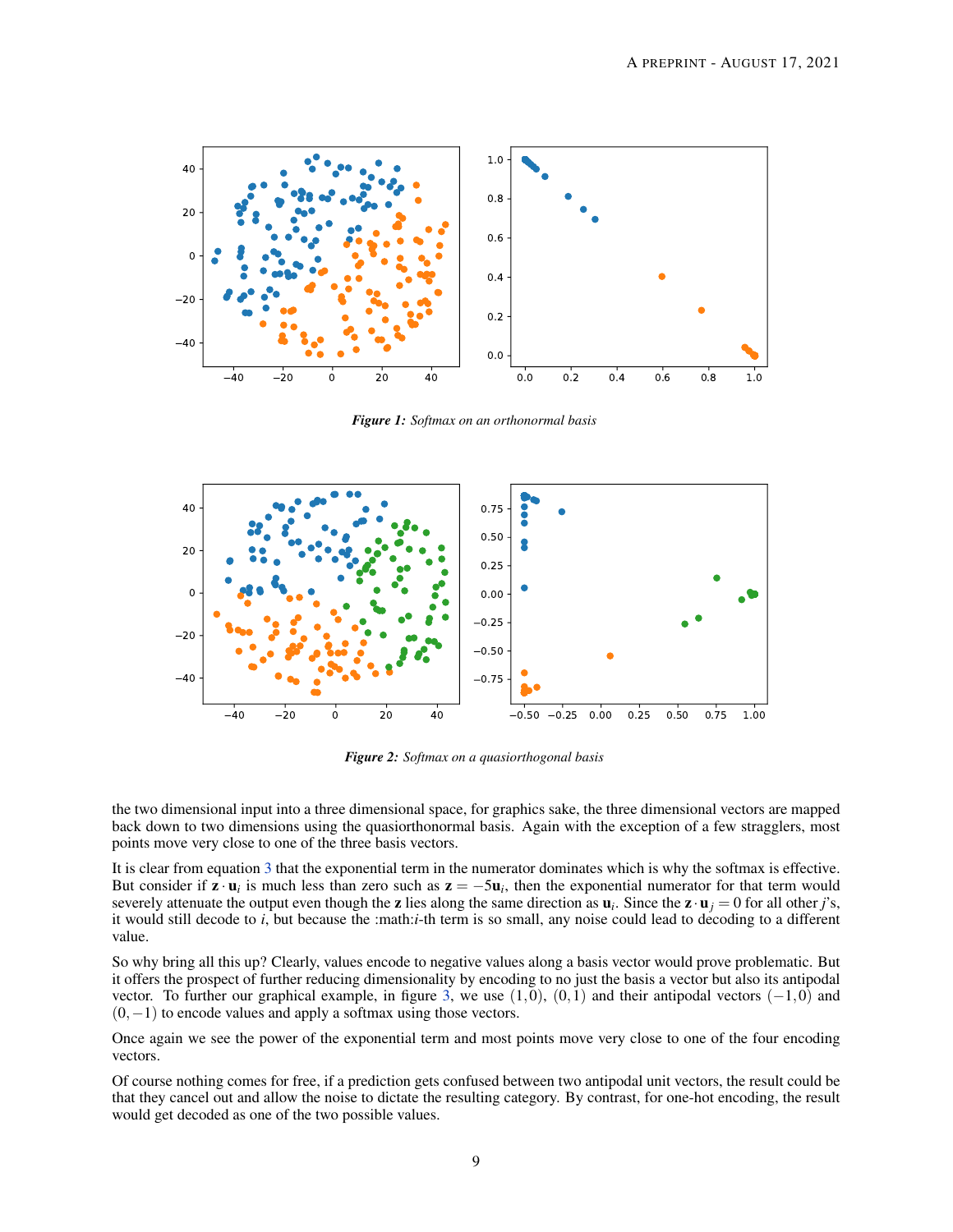<span id="page-8-0"></span>

*Figure 1: Softmax on an orthonormal basis*

<span id="page-8-1"></span>

*Figure 2: Softmax on a quasiorthogonal basis*

the two dimensional input into a three dimensional space, for graphics sake, the three dimensional vectors are mapped back down to two dimensions using the quasiorthonormal basis. Again with the exception of a few stragglers, most points move very close to one of the three basis vectors.

It is clear from equation [3](#page-3-1) that the exponential term in the numerator dominates which is why the softmax is effective. But consider if  $z \cdot u_i$  is much less than zero such as  $z = -5u_i$ , then the exponential numerator for that term would severely attenuate the output even though the **z** lies along the same direction as  $\mathbf{u}_i$ . Since the  $\mathbf{z} \cdot \mathbf{u}_j = 0$  for all other *j*'s, it would still decode to *i*, but because the :math:*i*-th term is so small, any noise could lead to decoding to a different value.

So why bring all this up? Clearly, values encode to negative values along a basis vector would prove problematic. But it offers the prospect of further reducing dimensionality by encoding to no just the basis a vector but also its antipodal vector. To further our graphical example, in figure [3,](#page-9-0) we use  $(1,0)$ ,  $(0,1)$  and their antipodal vectors  $(-1,0)$  and  $(0,-1)$  to encode values and apply a softmax using those vectors.

Once again we see the power of the exponential term and most points move very close to one of the four encoding vectors.

Of course nothing comes for free, if a prediction gets confused between two antipodal unit vectors, the result could be that they cancel out and allow the noise to dictate the resulting category. By contrast, for one-hot encoding, the result would get decoded as one of the two possible values.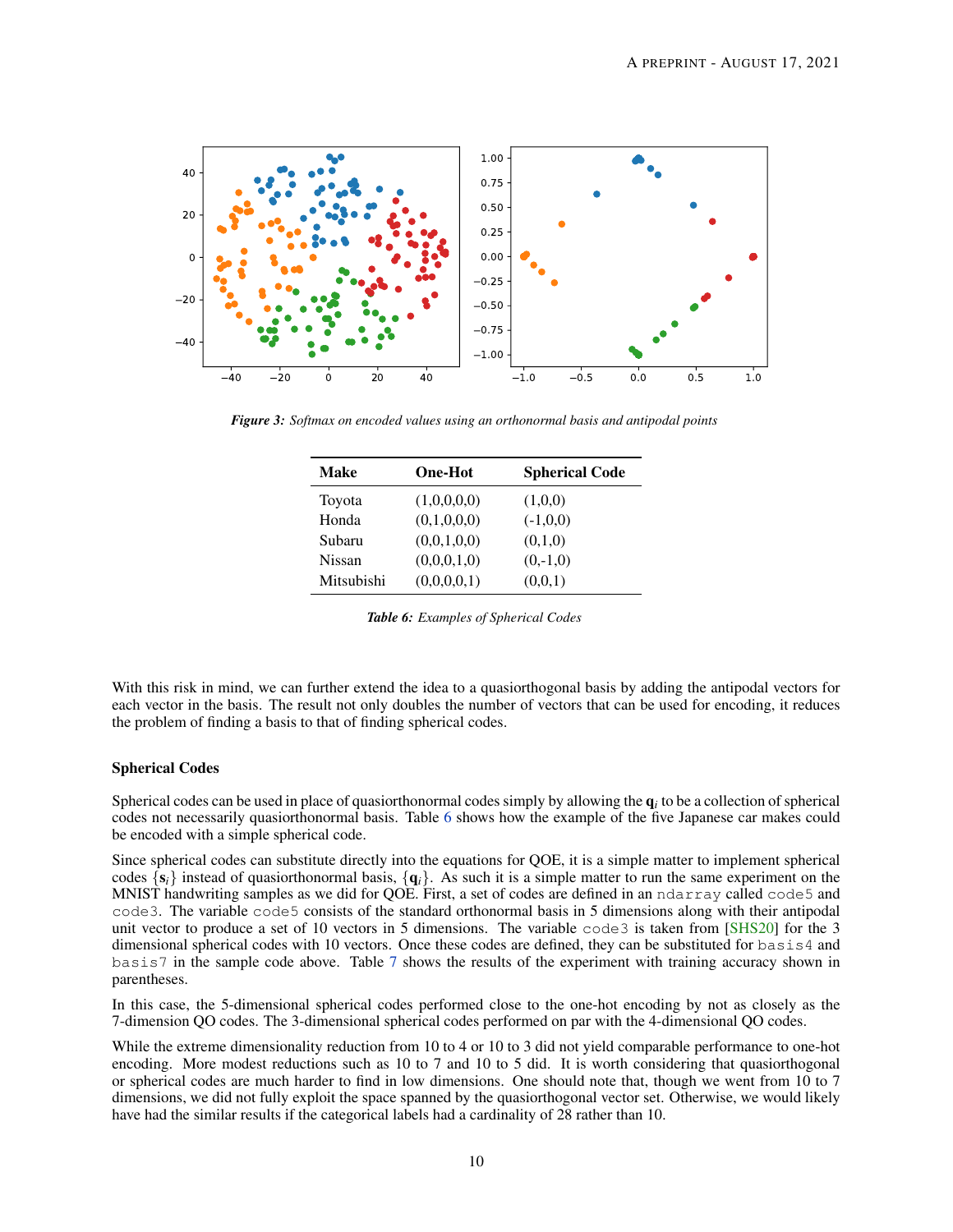<span id="page-9-0"></span>

<span id="page-9-1"></span>*Figure 3: Softmax on encoded values using an orthonormal basis and antipodal points*

| <b>Make</b> | <b>One-Hot</b> | <b>Spherical Code</b> |
|-------------|----------------|-----------------------|
| Toyota      | (1,0,0,0,0)    | (1,0,0)               |
| Honda       | (0,1,0,0,0)    | $(-1,0,0)$            |
| Subaru      | (0,0,1,0,0)    | (0,1,0)               |
| Nissan      | (0,0,0,1,0)    | $(0,-1,0)$            |
| Mitsubishi  | (0,0,0,0,1)    | (0,0,1)               |

*Table 6: Examples of Spherical Codes*

With this risk in mind, we can further extend the idea to a quasiorthogonal basis by adding the antipodal vectors for each vector in the basis. The result not only doubles the number of vectors that can be used for encoding, it reduces the problem of finding a basis to that of finding spherical codes.

# Spherical Codes

Spherical codes can be used in place of quasiorthonormal codes simply by allowing the  $q_i$  to be a collection of spherical codes not necessarily quasiorthonormal basis. Table [6](#page-9-1) shows how the example of the five Japanese car makes could be encoded with a simple spherical code.

Since spherical codes can substitute directly into the equations for QOE, it is a simple matter to implement spherical codes  $\{s_i\}$  instead of quasiorthonormal basis,  $\{q_i\}$ . As such it is a simple matter to run the same experiment on the MNIST handwriting samples as we did for QOE. First, a set of codes are defined in an ndarray called code5 and code3. The variable code5 consists of the standard orthonormal basis in 5 dimensions along with their antipodal unit vector to produce a set of 10 vectors in 5 dimensions. The variable code3 is taken from [\[SHS20\]](#page-11-3) for the 3 dimensional spherical codes with 10 vectors. Once these codes are defined, they can be substituted for  $\text{basis4}$  and basis7 in the sample code above. Table [7](#page-10-9) shows the results of the experiment with training accuracy shown in parentheses.

In this case, the 5-dimensional spherical codes performed close to the one-hot encoding by not as closely as the 7-dimension QO codes. The 3-dimensional spherical codes performed on par with the 4-dimensional QO codes.

While the extreme dimensionality reduction from 10 to 4 or 10 to 3 did not yield comparable performance to one-hot encoding. More modest reductions such as 10 to 7 and 10 to 5 did. It is worth considering that quasiorthogonal or spherical codes are much harder to find in low dimensions. One should note that, though we went from 10 to 7 dimensions, we did not fully exploit the space spanned by the quasiorthogonal vector set. Otherwise, we would likely have had the similar results if the categorical labels had a cardinality of 28 rather than 10.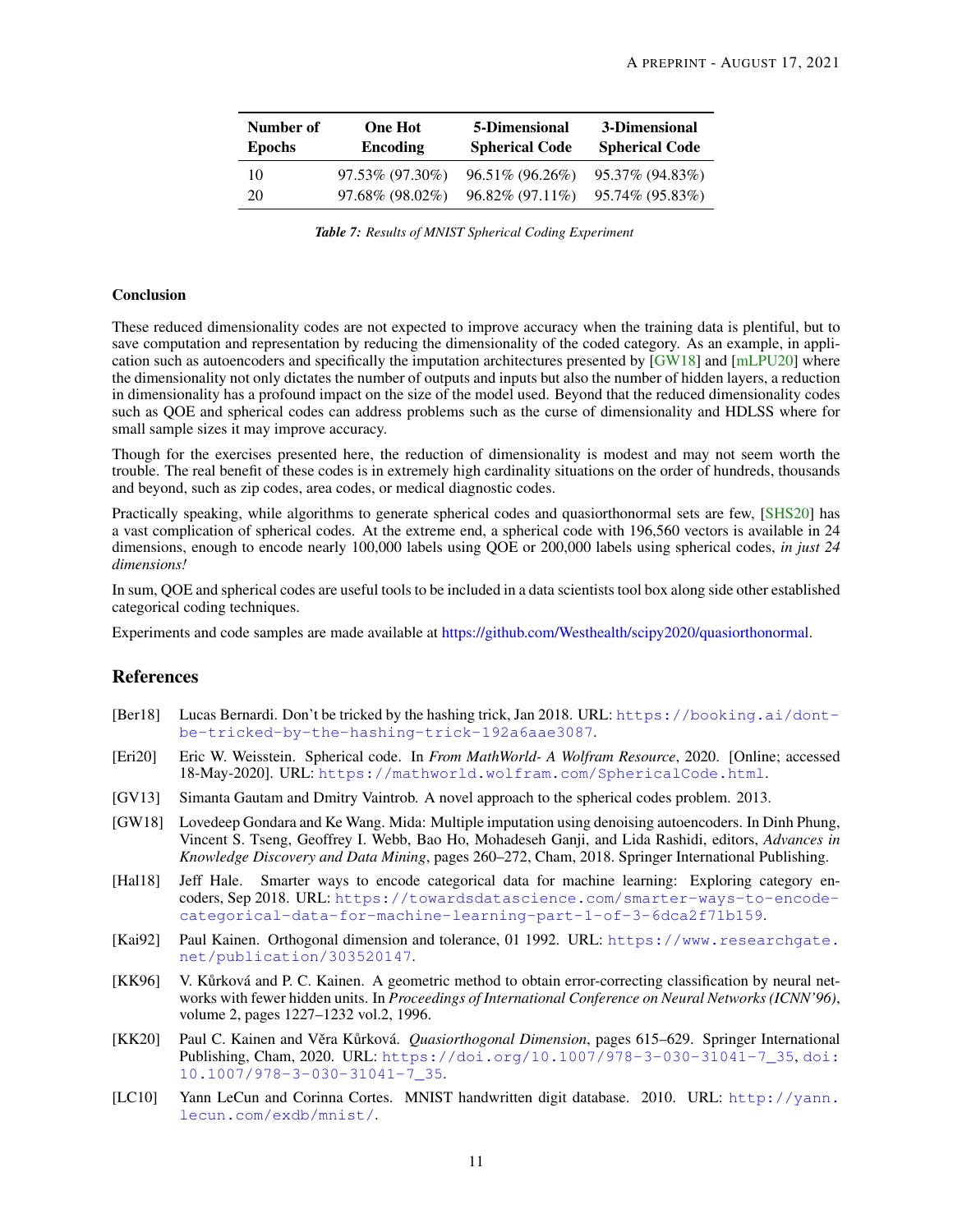<span id="page-10-9"></span>

| Number of<br><b>Epochs</b> | <b>One Hot</b><br><b>Encoding</b> | 5-Dimensional<br><b>Spherical Code</b> | 3-Dimensional<br><b>Spherical Code</b> |
|----------------------------|-----------------------------------|----------------------------------------|----------------------------------------|
| 10                         | 97.53% (97.30%)                   | 96.51% (96.26%)                        | 95.37% (94.83%)                        |
| 20                         | 97.68% (98.02%)                   | $96.82\%$ (97.11\%)                    | 95.74% (95.83%)                        |

*Table 7: Results of MNIST Spherical Coding Experiment*

## **Conclusion**

These reduced dimensionality codes are not expected to improve accuracy when the training data is plentiful, but to save computation and representation by reducing the dimensionality of the coded category. As an example, in application such as autoencoders and specifically the imputation architectures presented by [\[GW18\]](#page-10-3) and [\[mLPU20\]](#page-11-6) where the dimensionality not only dictates the number of outputs and inputs but also the number of hidden layers, a reduction in dimensionality has a profound impact on the size of the model used. Beyond that the reduced dimensionality codes such as QOE and spherical codes can address problems such as the curse of dimensionality and HDLSS where for small sample sizes it may improve accuracy.

Though for the exercises presented here, the reduction of dimensionality is modest and may not seem worth the trouble. The real benefit of these codes is in extremely high cardinality situations on the order of hundreds, thousands and beyond, such as zip codes, area codes, or medical diagnostic codes.

Practically speaking, while algorithms to generate spherical codes and quasiorthonormal sets are few, [\[SHS20\]](#page-11-3) has a vast complication of spherical codes. At the extreme end, a spherical code with 196,560 vectors is available in 24 dimensions, enough to encode nearly 100,000 labels using QOE or 200,000 labels using spherical codes, *in just 24 dimensions!*

In sum, QOE and spherical codes are useful tools to be included in a data scientists tool box along side other established categorical coding techniques.

Experiments and code samples are made available at [https://github.com/Westhealth/scipy2020/quasiorthonormal.](https://github.com/Westhealth/scipy2020/quasiorthonormal/)

# References

- <span id="page-10-2"></span>[Ber18] Lucas Bernardi. Don't be tricked by the hashing trick, Jan 2018. URL: [https://booking.ai/dont](https://booking.ai/dont-be-tricked-by-the-hashing-trick-192a6aae3087)[be-tricked-by-the-hashing-trick-192a6aae3087](https://booking.ai/dont-be-tricked-by-the-hashing-trick-192a6aae3087).
- <span id="page-10-6"></span>[Eri20] Eric W. Weisstein. Spherical code. In *From MathWorld- A Wolfram Resource*, 2020. [Online; accessed 18-May-2020]. URL: <https://mathworld.wolfram.com/SphericalCode.html>.
- <span id="page-10-7"></span>[GV13] Simanta Gautam and Dmitry Vaintrob. A novel approach to the spherical codes problem. 2013.
- <span id="page-10-3"></span>[GW18] Lovedeep Gondara and Ke Wang. Mida: Multiple imputation using denoising autoencoders. In Dinh Phung, Vincent S. Tseng, Geoffrey I. Webb, Bao Ho, Mohadeseh Ganji, and Lida Rashidi, editors, *Advances in Knowledge Discovery and Data Mining*, pages 260–272, Cham, 2018. Springer International Publishing.
- <span id="page-10-1"></span>[Hal18] Jeff Hale. Smarter ways to encode categorical data for machine learning: Exploring category encoders, Sep 2018. URL: [https://towardsdatascience.com/smarter-ways-to-encode](https://towardsdatascience.com/smarter-ways-to-encode-categorical-data-for-machine-learning-part-1-of-3-6dca2f71b159)[categorical-data-for-machine-learning-part-1-of-3-6dca2f71b159](https://towardsdatascience.com/smarter-ways-to-encode-categorical-data-for-machine-learning-part-1-of-3-6dca2f71b159).
- <span id="page-10-5"></span>[Kai92] Paul Kainen. Orthogonal dimension and tolerance, 01 1992. URL: [https://www.researchgate.](https://www.researchgate.net/publication/303520147) [net/publication/303520147](https://www.researchgate.net/publication/303520147).
- <span id="page-10-0"></span>[KK96] V. Kůrková and P. C. Kainen. A geometric method to obtain error-correcting classification by neural networks with fewer hidden units. In *Proceedings of International Conference on Neural Networks (ICNN'96)*, volume 2, pages 1227–1232 vol.2, 1996.
- <span id="page-10-4"></span>[KK20] Paul C. Kainen and Věra Kůrková. *Quasiorthogonal Dimension*, pages 615–629. Springer International Publishing, Cham, 2020. URL: [https://doi.org/10.1007/978-3-030-31041-7\\_35](https://doi.org/10.1007/978-3-030-31041-7_35), [doi:](http://dx.doi.org/10.1007/978-3-030-31041-7_35) [10.1007/978-3-030-31041-7\\_35](http://dx.doi.org/10.1007/978-3-030-31041-7_35).
- <span id="page-10-8"></span>[LC10] Yann LeCun and Corinna Cortes. MNIST handwritten digit database. 2010. URL: [http://yann.](http://yann.lecun.com/exdb/mnist/) [lecun.com/exdb/mnist/](http://yann.lecun.com/exdb/mnist/).